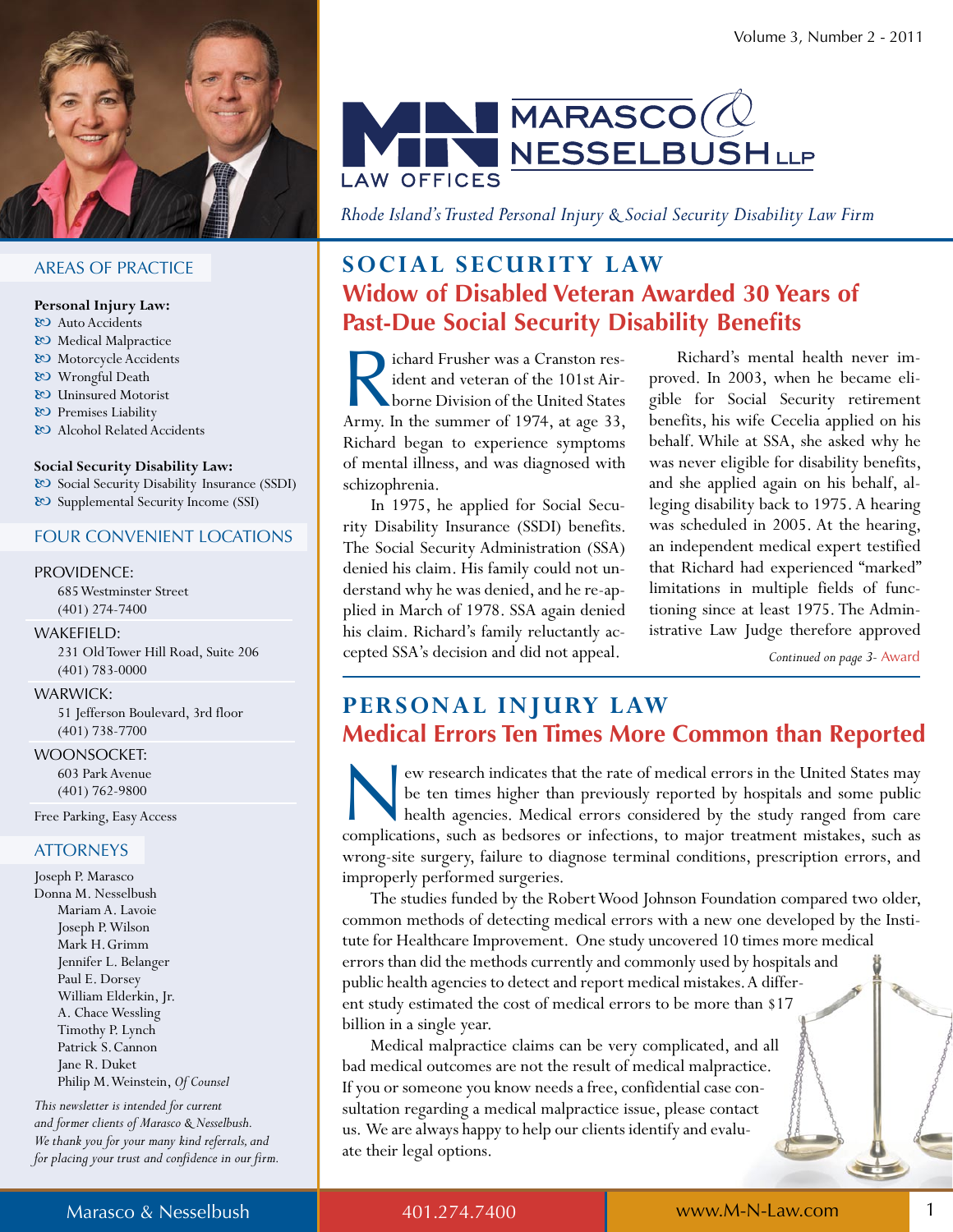

#### **AREAS OF PRACTICE**

#### Personal Injury Law:

- & Auto Accidents
- & Medical Malpractice
- & Motorcycle Accidents
- & Wrongful Death
- & Uninsured Motorist
- & Premises Liability
- & Alcohol Related Accidents

#### Social Security Disability Law:

& Social Security Disability Insurance (SSDI) & Supplemental Security Income (SSI)

#### **FOUR CONVENIENT LOCATIONS**

#### **PROVIDENCE:**

685 Westminster Street  $(401)$  274-7400

#### WAKEFIELD:

231 Old Tower Hill Road, Suite 206  $(401)$  783-0000

#### **WARWICK:**

51 Jefferson Boulevard, 3rd floor  $(401)$  738-7700

#### **WOONSOCKET:**

603 Park Avenue  $(401) 762 - 9800$ 

Free Parking, Easy Access

#### **ATTORNEYS**

Joseph P. Marasco Donna M. Nesselbush Mariam A. Lavoie Joseph P. Wilson Mark H. Grimm Jennifer L. Belanger Paul E. Dorsey William Elderkin, Jr. A. Chace Wessling Timothy P. Lynch Patrick S. Cannon Jane R. Duket Philip M. Weinstein, Of Counsel

This newsletter is intended for current and former clients of Marasco & Nesselbush. We thank you for your many kind referrals, and for placing your trust and confidence in our firm.



Rhode Island's Trusted Personal Injury & Social Security Disability Law Firm

## **SOCIAL SECURITY LAW** Widow of Disabled Veteran Awarded 30 Years of **Past-Due Social Security Disability Benefits**

chard Frusher was a Cranston resident and veteran of the 101st Airborne Division of the United States Army. In the summer of 1974, at age 33, Richard began to experience symptoms of mental illness, and was diagnosed with schizophrenia.

In 1975, he applied for Social Security Disability Insurance (SSDI) benefits. The Social Security Administration (SSA) denied his claim. His family could not understand why he was denied, and he re-applied in March of 1978. SSA again denied his claim. Richard's family reluctantly accepted SSA's decision and did not appeal.

Richard's mental health never improved. In 2003, when he became eligible for Social Security retirement benefits, his wife Cecelia applied on his behalf. While at SSA, she asked why he was never eligible for disability benefits, and she applied again on his behalf, alleging disability back to 1975. A hearing was scheduled in 2005. At the hearing, an independent medical expert testified that Richard had experienced "marked" limitations in multiple fields of functioning since at least 1975. The Administrative Law Judge therefore approved

Continued on page 3- Award

## PERSONAL INJURY LAW **Medical Errors Ten Times More Common than Reported**

ew research indicates that the rate of medical errors in the United States may be ten times higher than previously reported by hospitals and some public health agencies. Medical errors considered by the study ranged from care complications, such as bedsores or infections, to major treatment mistakes, such as wrong-site surgery, failure to diagnose terminal conditions, prescription errors, and improperly performed surgeries.

The studies funded by the Robert Wood Johnson Foundation compared two older, common methods of detecting medical errors with a new one developed by the Institute for Healthcare Improvement. One study uncovered 10 times more medical errors than did the methods currently and commonly used by hospitals and public health agencies to detect and report medical mistakes. A differ-**Reserved** ent study estimated the cost of medical errors to be more than \$17 billion in a single year.

Medical malpractice claims can be very complicated, and all bad medical outcomes are not the result of medical malpractice. If you or someone you know needs a free, confidential case consultation regarding a medical malpractice issue, please contact us. We are always happy to help our clients identify and evaluate their legal options.

401.274.7400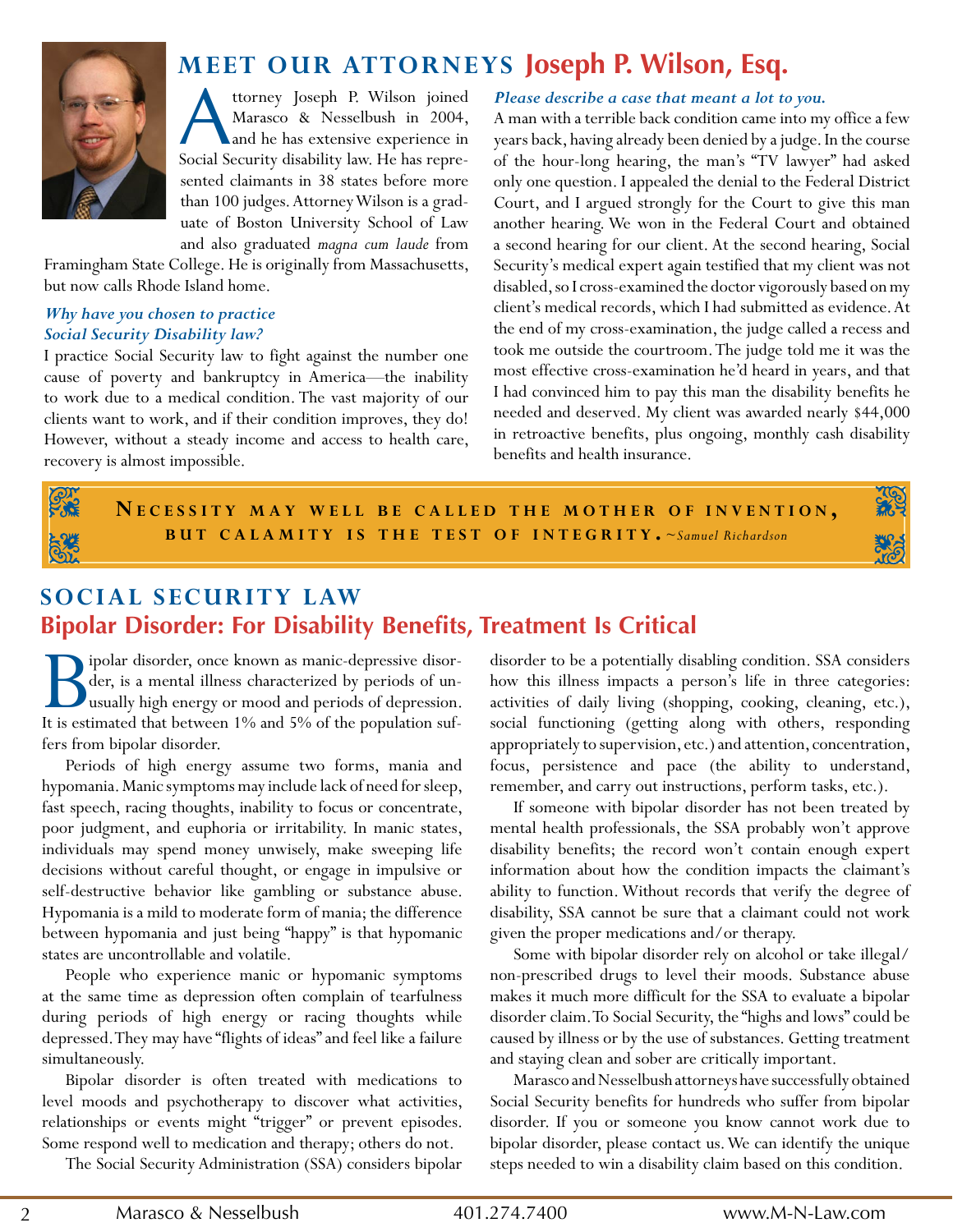

## **MEET OUR ATTORNEYS Joseph P. Wilson, Esq.**

**MER** ttorney Joseph P. Wilson joined Marasco & Nesselbush in 2004, **L**and he has extensive experience in Social Security disability law. He has represented claimants in 38 states before more than 100 judges. Attorney Wilson is a graduate of Boston University School of Law and also graduated *magna cum laude* from 

Framingham State College. He is originally from Massachusetts, but now calls Rhode Island home.

#### *Why have you chosen to practice Social Security Disability law?*

I practice Social Security law to fight against the number one cause of poverty and bankruptcy in America—the inability to work due to a medical condition. The vast majority of our clients want to work, and if their condition improves, they do! However, without a steady income and access to health care, recovery is almost impossible.

#### *Please describe a case that meant a lot to you.*

A man with a terrible back condition came into my office a few years back, having already been denied by a judge. In the course of the hour-long hearing, the man's "TV lawyer" had asked only one question. I appealed the denial to the Federal District Court, and I argued strongly for the Court to give this man another hearing. We won in the Federal Court and obtained a second hearing for our client. At the second hearing, Social Security's medical expert again testified that my client was not disabled, so I cross-examined the doctor vigorously based on my client's medical records, which I had submitted as evidence. At the end of my cross-examination, the judge called a recess and took me outside the courtroom. The judge told me it was the most effective cross-examination he'd heard in years, and that I had convinced him to pay this man the disability benefits he needed and deserved. My client was awarded nearly \$44,000 in retroactive benefits, plus ongoing, monthly cash disability benefits and health insurance.



**NE C E S S I T Y M A Y W E L L b E C A L L E D T h E M O T h E R O f I N v E N T I O N , b U T C A L A M I T Y I S T h E T E S T O f I N T E g R I T Y .** *~Samuel Richardson*



## **SOCIAL SECURITY LAW Bipolar Disorder: For Disability Benefits, Treatment Is Critical**

**B** ipolar disorder, once known as manic-depressive disorder, is a mental illness characterized by periods of unusually high energy or mood and periods of depression.<br>It is estimated that between 1% and 5% of the populatio ipolar disorder, once known as manic-depressive disorder, is a mental illness characterized by periods of unusually high energy or mood and periods of depression. fers from bipolar disorder.

Periods of high energy assume two forms, mania and hypomania. Manic symptoms may include lack of need for sleep, fast speech, racing thoughts, inability to focus or concentrate, poor judgment, and euphoria or irritability. In manic states, individuals may spend money unwisely, make sweeping life decisions without careful thought, or engage in impulsive or self-destructive behavior like gambling or substance abuse. Hypomania is a mild to moderate form of mania; the difference between hypomania and just being "happy" is that hypomanic states are uncontrollable and volatile.

People who experience manic or hypomanic symptoms at the same time as depression often complain of tearfulness during periods of high energy or racing thoughts while depressed. They may have "flights of ideas" and feel like a failure simultaneously. 

Bipolar disorder is often treated with medications to level moods and psychotherapy to discover what activities, relationships or events might "trigger" or prevent episodes. Some respond well to medication and therapy; others do not.

The Social Security Administration (SSA) considers bipolar

disorder to be a potentially disabling condition. SSA considers how this illness impacts a person's life in three categories: activities of daily living (shopping, cooking, cleaning, etc.), social functioning (getting along with others, responding appropriately to supervision, etc.) and attention, concentration, focus, persistence and pace (the ability to understand, remember, and carry out instructions, perform tasks, etc.).

If someone with bipolar disorder has not been treated by mental health professionals, the SSA probably won't approve disability benefits; the record won't contain enough expert information about how the condition impacts the claimant's ability to function. Without records that verify the degree of disability, SSA cannot be sure that a claimant could not work given the proper medications and/or therapy.

Some with bipolar disorder rely on alcohol or take illegal/ non-prescribed drugs to level their moods. Substance abuse makes it much more difficult for the SSA to evaluate a bipolar disorder claim. To Social Security, the "highs and lows" could be caused by illness or by the use of substances. Getting treatment and staying clean and sober are critically important.

Marasco and Nesselbush attorneys have successfully obtained Social Security benefits for hundreds who suffer from bipolar disorder. If you or someone you know cannot work due to bipolar disorder, please contact us. We can identify the unique steps needed to win a disability claim based on this condition.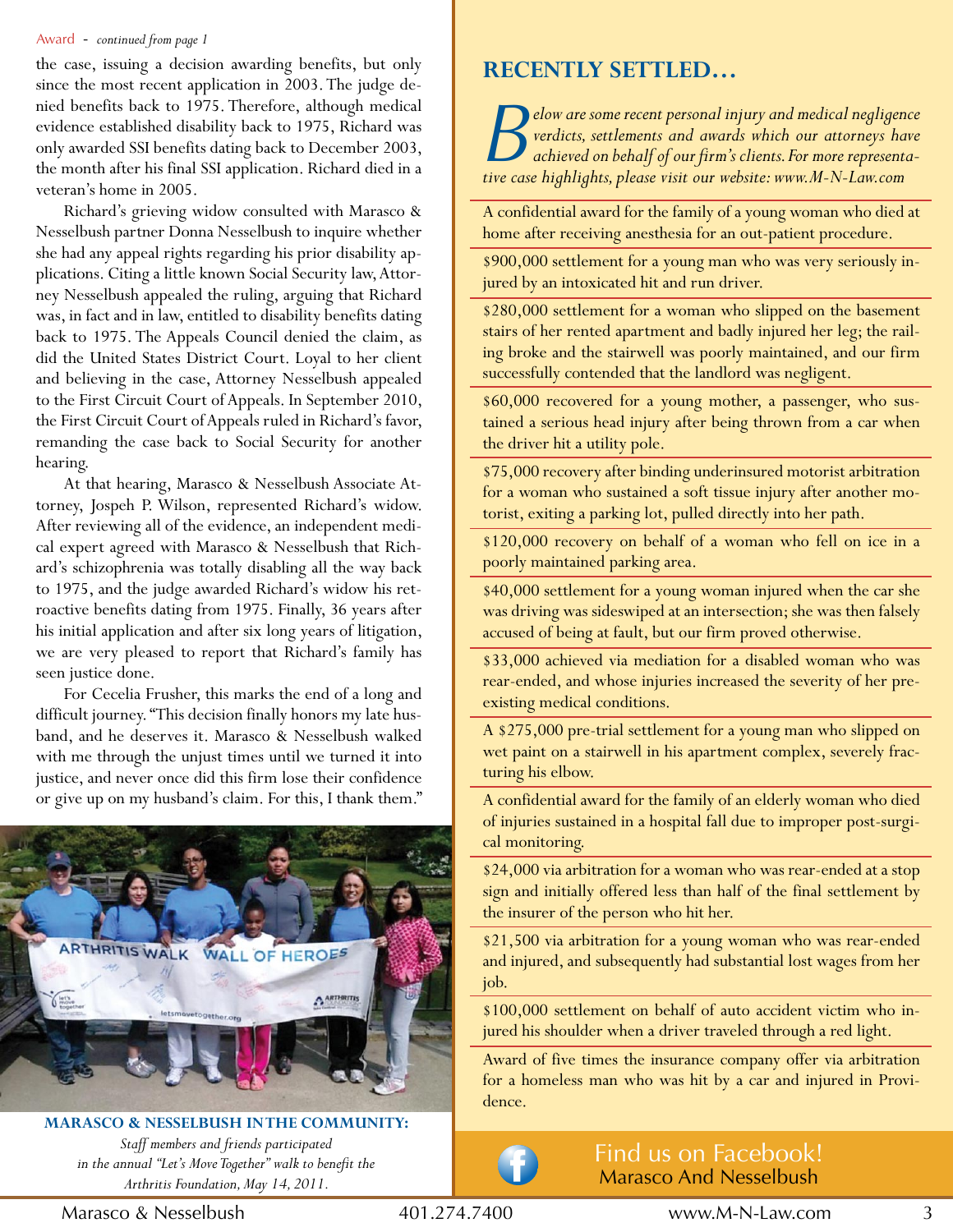#### Award - *continued from page 1*

the case, issuing a decision awarding benefits, but only since the most recent application in 2003. The judge denied benefits back to 1975. Therefore, although medical evidence established disability back to 1975, Richard was only awarded SSI benefits dating back to December 2003, the month after his final SSI application. Richard died in a veteran's home in 2005.

Richard's grieving widow consulted with Marasco & Nesselbush partner Donna Nesselbush to inquire whether she had any appeal rights regarding his prior disability applications. Citing a little known Social Security law, Attorney Nesselbush appealed the ruling, arguing that Richard was, in fact and in law, entitled to disability benefits dating back to 1975. The Appeals Council denied the claim, as did the United States District Court. Loyal to her client and believing in the case, Attorney Nesselbush appealed to the First Circuit Court of Appeals. In September 2010, the First Circuit Court of Appeals ruled in Richard's favor, remanding the case back to Social Security for another hearing. 

At that hearing, Marasco & Nesselbush Associate Attorney, Jospeh P. Wilson, represented Richard's widow. After reviewing all of the evidence, an independent medical expert agreed with Marasco & Nesselbush that Richard's schizophrenia was totally disabling all the way back to 1975, and the judge awarded Richard's widow his retroactive benefits dating from 1975. Finally, 36 years after his initial application and after six long years of litigation, we are very pleased to report that Richard's family has seen justice done.

For Cecelia Frusher, this marks the end of a long and difficult journey. "This decision finally honors my late husband, and he deserves it. Marasco & Nesselbush walked with me through the unjust times until we turned it into justice, and never once did this firm lose their confidence or give up on my husband's claim. For this, I thank them."



**MARASCO & NESSELbUSh IN ThE COMMUNITY:**  *Staff members and friends participated in the annual "Let's Move Together" walk to benefit the Arthritis Foundation, May 14, 2011.*

## **RECENTLY SETTLED…**

*B elow are some recent personal injury and medical negligence verdicts, settlements and awards which our attorneys have achieved on behalf of our firm's clients. For more representative case highlights, please visit our website: www.M-N-Law.com*

A confidential award for the family of a young woman who died at home after receiving anesthesia for an out-patient procedure.

\$900,000 settlement for a young man who was very seriously injured by an intoxicated hit and run driver.

\$280,000 settlement for a woman who slipped on the basement stairs of her rented apartment and badly injured her leg; the railing broke and the stairwell was poorly maintained, and our firm successfully contended that the landlord was negligent.

\$60,000 recovered for a young mother, a passenger, who sustained a serious head injury after being thrown from a car when the driver hit a utility pole.

\$75,000 recovery after binding underinsured motorist arbitration for a woman who sustained a soft tissue injury after another motorist, exiting a parking lot, pulled directly into her path.

\$120,000 recovery on behalf of a woman who fell on ice in a poorly maintained parking area.

\$40,000 settlement for a young woman injured when the car she was driving was sideswiped at an intersection; she was then falsely accused of being at fault, but our firm proved otherwise.

\$33,000 achieved via mediation for a disabled woman who was rear-ended, and whose injuries increased the severity of her preexisting medical conditions.

A \$275,000 pre-trial settlement for a young man who slipped on wet paint on a stairwell in his apartment complex, severely fracturing his elbow.

A confidential award for the family of an elderly woman who died of injuries sustained in a hospital fall due to improper post-surgical monitoring.

\$24,000 via arbitration for a woman who was rear-ended at a stop sign and initially offered less than half of the final settlement by the insurer of the person who hit her.

\$21,500 via arbitration for a young woman who was rear-ended and injured, and subsequently had substantial lost wages from her job. 

\$100,000 settlement on behalf of auto accident victim who injured his shoulder when a driver traveled through a red light.

Award of five times the insurance company offer via arbitration for a homeless man who was hit by a car and injured in Providence.



## **find us on Facebook!** Marasco And Nesselbush

Marasco & Nesselbush 401.274.7400 www.M-N-law.com 3